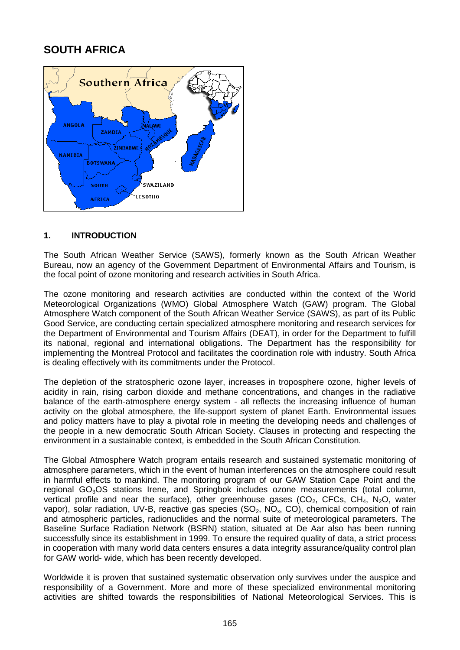# **SOUTH AFRICA**



### **1. INTRODUCTION**

The South African Weather Service (SAWS), formerly known as the South African Weather Bureau, now an agency of the Government Department of Environmental Affairs and Tourism, is the focal point of ozone monitoring and research activities in South Africa.

The ozone monitoring and research activities are conducted within the context of the World Meteorological Organizations (WMO) Global Atmosphere Watch (GAW) program. The Global Atmosphere Watch component of the South African Weather Service (SAWS), as part of its Public Good Service, are conducting certain specialized atmosphere monitoring and research services for the Department of Environmental and Tourism Affairs (DEAT), in order for the Department to fulfill its national, regional and international obligations. The Department has the responsibility for implementing the Montreal Protocol and facilitates the coordination role with industry. South Africa is dealing effectively with its commitments under the Protocol.

The depletion of the stratospheric ozone layer, increases in troposphere ozone, higher levels of acidity in rain, rising carbon dioxide and methane concentrations, and changes in the radiative balance of the earth-atmosphere energy system - all reflects the increasing influence of human activity on the global atmosphere, the life-support system of planet Earth. Environmental issues and policy matters have to play a pivotal role in meeting the developing needs and challenges of the people in a new democratic South African Society. Clauses in protecting and respecting the environment in a sustainable context, is embedded in the South African Constitution.

The Global Atmosphere Watch program entails research and sustained systematic monitoring of atmosphere parameters, which in the event of human interferences on the atmosphere could result in harmful effects to mankind. The monitoring program of our GAW Station Cape Point and the regional GO<sub>3</sub>OS stations Irene, and Springbok includes ozone measurements (total column, vertical profile and near the surface), other greenhouse gases ( $CO<sub>2</sub>$ , CFCs, CH<sub>4</sub>, N<sub>2</sub>O, water vapor), solar radiation, UV-B, reactive gas species  $(SO_2, NO_x, CO)$ , chemical composition of rain and atmospheric particles, radionuclides and the normal suite of meteorological parameters. The Baseline Surface Radiation Network (BSRN) station, situated at De Aar also has been running successfully since its establishment in 1999. To ensure the required quality of data, a strict process in cooperation with many world data centers ensures a data integrity assurance/quality control plan for GAW world- wide, which has been recently developed.

Worldwide it is proven that sustained systematic observation only survives under the auspice and responsibility of a Government. More and more of these specialized environmental monitoring activities are shifted towards the responsibilities of National Meteorological Services. This is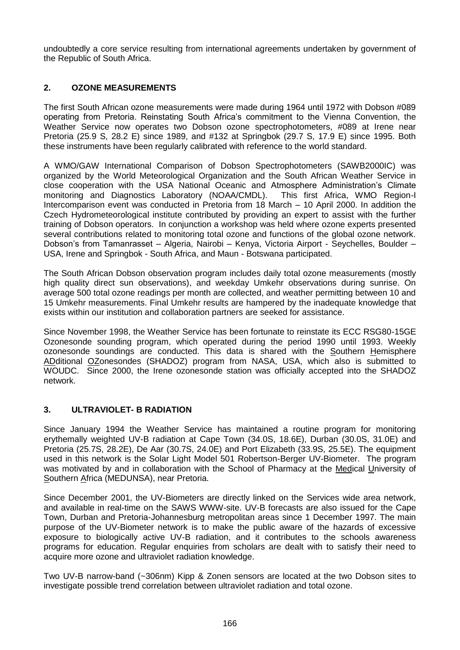undoubtedly a core service resulting from international agreements undertaken by government of the Republic of South Africa.

## **2. OZONE MEASUREMENTS**

The first South African ozone measurements were made during 1964 until 1972 with Dobson #089 operating from Pretoria. Reinstating South Africa's commitment to the Vienna Convention, the Weather Service now operates two Dobson ozone spectrophotometers, #089 at Irene near Pretoria (25.9 S, 28.2 E) since 1989, and #132 at Springbok (29.7 S, 17.9 E) since 1995. Both these instruments have been regularly calibrated with reference to the world standard.

A WMO/GAW International Comparison of Dobson Spectrophotometers (SAWB2000IC) was organized by the World Meteorological Organization and the South African Weather Service in close cooperation with the USA National Oceanic and Atmosphere Administration's Climate monitoring and Diagnostics Laboratory (NOAA/CMDL). This first Africa, WMO Region-I Intercomparison event was conducted in Pretoria from 18 March – 10 April 2000. In addition the Czech Hydrometeorological institute contributed by providing an expert to assist with the further training of Dobson operators. In conjunction a workshop was held where ozone experts presented several contributions related to monitoring total ozone and functions of the global ozone network. Dobson's from Tamanrasset – Algeria, Nairobi – Kenya, Victoria Airport - Seychelles, Boulder – USA, Irene and Springbok - South Africa, and Maun - Botswana participated.

The South African Dobson observation program includes daily total ozone measurements (mostly high quality direct sun observations), and weekday Umkehr observations during sunrise. On average 500 total ozone readings per month are collected, and weather permitting between 10 and 15 Umkehr measurements. Final Umkehr results are hampered by the inadequate knowledge that exists within our institution and collaboration partners are seeked for assistance.

Since November 1998, the Weather Service has been fortunate to reinstate its ECC RSG80-15GE Ozonesonde sounding program, which operated during the period 1990 until 1993. Weekly ozonesonde soundings are conducted. This data is shared with the Southern Hemisphere ADditional OZonesondes (SHADOZ) program from NASA, USA, which also is submitted to WOUDC. Since 2000, the Irene ozonesonde station was officially accepted into the SHADOZ network.

#### **3. ULTRAVIOLET- B RADIATION**

Since January 1994 the Weather Service has maintained a routine program for monitoring erythemally weighted UV-B radiation at Cape Town (34.0S, 18.6E), Durban (30.0S, 31.0E) and Pretoria (25.7S, 28.2E), De Aar (30.7S, 24.0E) and Port Elizabeth (33.9S, 25.5E). The equipment used in this network is the Solar Light Model 501 Robertson-Berger UV-Biometer. The program was motivated by and in collaboration with the School of Pharmacy at the Medical University of Southern Africa (MEDUNSA), near Pretoria.

Since December 2001, the UV-Biometers are directly linked on the Services wide area network, and available in real-time on the SAWS WWW-site. UV-B forecasts are also issued for the Cape Town, Durban and Pretoria-Johannesburg metropolitan areas since 1 December 1997. The main purpose of the UV-Biometer network is to make the public aware of the hazards of excessive exposure to biologically active UV-B radiation, and it contributes to the schools awareness programs for education. Regular enquiries from scholars are dealt with to satisfy their need to acquire more ozone and ultraviolet radiation knowledge.

Two UV-B narrow-band (~306nm) Kipp & Zonen sensors are located at the two Dobson sites to investigate possible trend correlation between ultraviolet radiation and total ozone.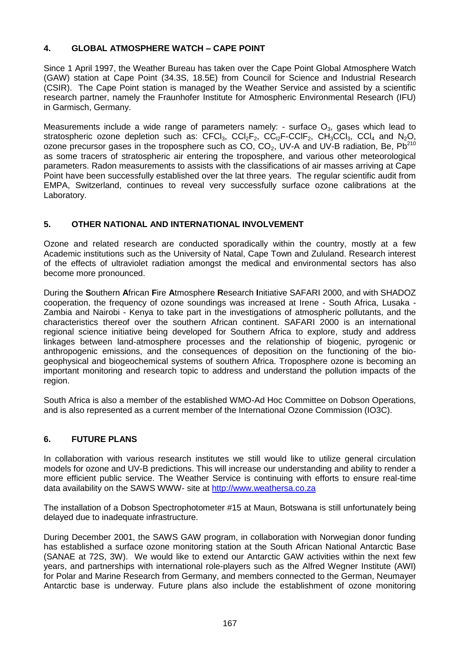## **4. GLOBAL ATMOSPHERE WATCH – CAPE POINT**

Since 1 April 1997, the Weather Bureau has taken over the Cape Point Global Atmosphere Watch (GAW) station at Cape Point (34.3S, 18.5E) from Council for Science and Industrial Research (CSIR). The Cape Point station is managed by the Weather Service and assisted by a scientific research partner, namely the Fraunhofer Institute for Atmospheric Environmental Research (IFU) in Garmisch, Germany.

Measurements include a wide range of parameters namely: - surface  $O_3$ , gases which lead to stratospheric ozone depletion such as: CFCl<sub>3</sub>, CCl<sub>2</sub>F<sub>2</sub>, CC<sub>l2</sub>F-CClF<sub>2</sub>, CH<sub>3</sub>CCl<sub>3</sub>, CCl<sub>4</sub> and N<sub>2</sub>O, ozone precursor gases in the troposphere such as CO,  $CO<sub>2</sub>$ , UV-A and UV-B radiation, Be, Pb<sup>210</sup> as some tracers of stratospheric air entering the troposphere, and various other meteorological parameters. Radon measurements to assists with the classifications of air masses arriving at Cape Point have been successfully established over the lat three years. The regular scientific audit from EMPA, Switzerland, continues to reveal very successfully surface ozone calibrations at the Laboratory.

## **5. OTHER NATIONAL AND INTERNATIONAL INVOLVEMENT**

Ozone and related research are conducted sporadically within the country, mostly at a few Academic institutions such as the University of Natal, Cape Town and Zululand. Research interest of the effects of ultraviolet radiation amongst the medical and environmental sectors has also become more pronounced.

During the **S**outhern **A**frican **F**ire **A**tmosphere **R**esearch **I**nitiative SAFARI 2000, and with SHADOZ cooperation, the frequency of ozone soundings was increased at Irene - South Africa, Lusaka - Zambia and Nairobi - Kenya to take part in the investigations of atmospheric pollutants, and the characteristics thereof over the southern African continent. SAFARI 2000 is an international regional science initiative being developed for Southern Africa to explore, study and address linkages between land-atmosphere processes and the relationship of biogenic, pyrogenic or anthropogenic emissions, and the consequences of deposition on the functioning of the biogeophysical and biogeochemical systems of southern Africa. Troposphere ozone is becoming an important monitoring and research topic to address and understand the pollution impacts of the region.

South Africa is also a member of the established WMO-Ad Hoc Committee on Dobson Operations, and is also represented as a current member of the International Ozone Commission (IO3C).

## **6. FUTURE PLANS**

In collaboration with various research institutes we still would like to utilize general circulation models for ozone and UV-B predictions. This will increase our understanding and ability to render a more efficient public service. The Weather Service is continuing with efforts to ensure real-time data availability on the SAWS WWW- site at http://www.weathersa.co.za

The installation of a Dobson Spectrophotometer #15 at Maun, Botswana is still unfortunately being delayed due to inadequate infrastructure.

During December 2001, the SAWS GAW program, in collaboration with Norwegian donor funding has established a surface ozone monitoring station at the South African National Antarctic Base (SANAE at 72S, 3W). We would like to extend our Antarctic GAW activities within the next few years, and partnerships with international role-players such as the Alfred Wegner Institute (AWI) for Polar and Marine Research from Germany, and members connected to the German, Neumayer Antarctic base is underway. Future plans also include the establishment of ozone monitoring